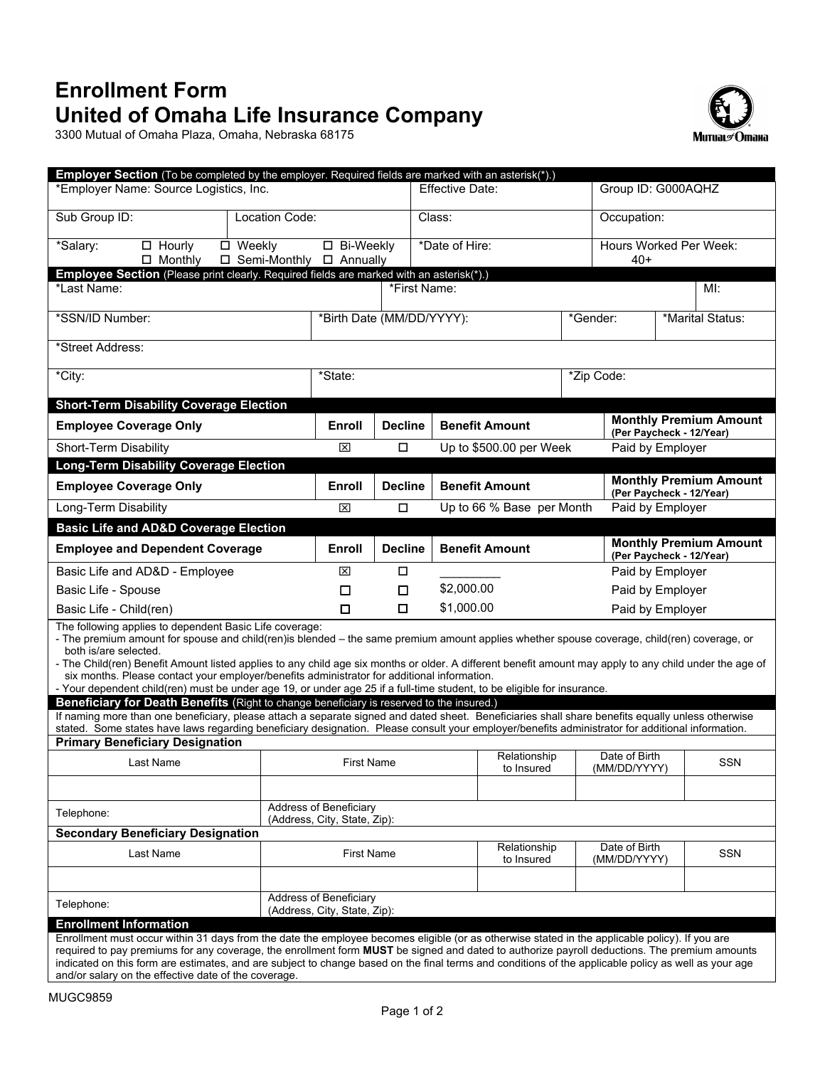# **Enrollment Form United of Omaha Life Insurance Company**

3300 Mutual of Omaha Plaza, Omaha, Nebraska 68175



| Employer Section (To be completed by the employer. Required fields are marked with an asterisk(*).)                                                                                                                                                                                                                                                                                                                                                                                                                                                                                                                  |                                |                           |                            |                                                           |                               |                                                           |                               |  |
|----------------------------------------------------------------------------------------------------------------------------------------------------------------------------------------------------------------------------------------------------------------------------------------------------------------------------------------------------------------------------------------------------------------------------------------------------------------------------------------------------------------------------------------------------------------------------------------------------------------------|--------------------------------|---------------------------|----------------------------|-----------------------------------------------------------|-------------------------------|-----------------------------------------------------------|-------------------------------|--|
| *Employer Name: Source Logistics, Inc.                                                                                                                                                                                                                                                                                                                                                                                                                                                                                                                                                                               |                                |                           | Effective Date:            |                                                           | Group ID: G000AQHZ            |                                                           |                               |  |
| Sub Group ID:<br>Location Code:                                                                                                                                                                                                                                                                                                                                                                                                                                                                                                                                                                                      |                                |                           | Class:                     |                                                           | Occupation:                   |                                                           |                               |  |
| *Salary:<br>$\Box$ Hourly<br>□ Weekly<br>$\Box$ Monthly<br>□ Semi-Monthly                                                                                                                                                                                                                                                                                                                                                                                                                                                                                                                                            | □ Bi-Weekly<br>$\Box$ Annually |                           | *Date of Hire:             |                                                           |                               | Hours Worked Per Week:<br>$40+$                           |                               |  |
| Employee Section (Please print clearly. Required fields are marked with an asterisk(*).)                                                                                                                                                                                                                                                                                                                                                                                                                                                                                                                             |                                |                           |                            |                                                           |                               |                                                           |                               |  |
| *Last Name:                                                                                                                                                                                                                                                                                                                                                                                                                                                                                                                                                                                                          | *First Name:<br>Ml:            |                           |                            |                                                           |                               |                                                           |                               |  |
| *SSN/ID Number:                                                                                                                                                                                                                                                                                                                                                                                                                                                                                                                                                                                                      |                                | *Birth Date (MM/DD/YYYY): |                            | *Gender:                                                  |                               |                                                           | *Marital Status:              |  |
| *Street Address:                                                                                                                                                                                                                                                                                                                                                                                                                                                                                                                                                                                                     |                                |                           |                            |                                                           |                               |                                                           |                               |  |
| *City:                                                                                                                                                                                                                                                                                                                                                                                                                                                                                                                                                                                                               | *State:                        | *Zip Code:                |                            |                                                           |                               |                                                           |                               |  |
| <b>Short-Term Disability Coverage Election</b>                                                                                                                                                                                                                                                                                                                                                                                                                                                                                                                                                                       |                                |                           |                            |                                                           |                               |                                                           |                               |  |
| <b>Employee Coverage Only</b>                                                                                                                                                                                                                                                                                                                                                                                                                                                                                                                                                                                        | Enroll                         | <b>Decline</b>            | <b>Benefit Amount</b>      | (Per Paycheck - 12/Year)                                  |                               |                                                           | <b>Monthly Premium Amount</b> |  |
| Short-Term Disability                                                                                                                                                                                                                                                                                                                                                                                                                                                                                                                                                                                                | ⊠                              | $\Box$                    | Up to \$500.00 per Week    |                                                           | Paid by Employer              |                                                           |                               |  |
| <b>Long-Term Disability Coverage Election</b>                                                                                                                                                                                                                                                                                                                                                                                                                                                                                                                                                                        |                                |                           |                            |                                                           |                               |                                                           |                               |  |
| <b>Employee Coverage Only</b>                                                                                                                                                                                                                                                                                                                                                                                                                                                                                                                                                                                        | Enroll                         | <b>Decline</b>            | <b>Benefit Amount</b>      |                                                           |                               | <b>Monthly Premium Amount</b><br>(Per Paycheck - 12/Year) |                               |  |
| Long-Term Disability                                                                                                                                                                                                                                                                                                                                                                                                                                                                                                                                                                                                 | 図                              | $\Box$                    | Up to 66 % Base per Month  |                                                           | Paid by Employer              |                                                           |                               |  |
| <b>Basic Life and AD&amp;D Coverage Election</b>                                                                                                                                                                                                                                                                                                                                                                                                                                                                                                                                                                     |                                |                           |                            |                                                           |                               |                                                           |                               |  |
| <b>Employee and Dependent Coverage</b>                                                                                                                                                                                                                                                                                                                                                                                                                                                                                                                                                                               | Enroll                         | <b>Decline</b>            | <b>Benefit Amount</b>      | <b>Monthly Premium Amount</b><br>(Per Paycheck - 12/Year) |                               |                                                           |                               |  |
| Basic Life and AD&D - Employee                                                                                                                                                                                                                                                                                                                                                                                                                                                                                                                                                                                       | ⊠                              | □                         |                            | Paid by Employer                                          |                               |                                                           |                               |  |
| Basic Life - Spouse                                                                                                                                                                                                                                                                                                                                                                                                                                                                                                                                                                                                  | □                              | $\Box$                    | \$2,000.00                 | Paid by Employer                                          |                               |                                                           |                               |  |
| Basic Life - Child(ren)                                                                                                                                                                                                                                                                                                                                                                                                                                                                                                                                                                                              | □                              | □                         | \$1,000.00                 | Paid by Employer                                          |                               |                                                           |                               |  |
| The following applies to dependent Basic Life coverage:<br>- The premium amount for spouse and child(ren)is blended – the same premium amount applies whether spouse coverage, child(ren) coverage, or<br>both is/are selected.<br>- The Child(ren) Benefit Amount listed applies to any child age six months or older. A different benefit amount may apply to any child under the age of<br>six months. Please contact your employer/benefits administrator for additional information.<br>- Your dependent child(ren) must be under age 19, or under age 25 if a full-time student, to be eligible for insurance. |                                |                           |                            |                                                           |                               |                                                           |                               |  |
| Beneficiary for Death Benefits (Right to change beneficiary is reserved to the insured.)                                                                                                                                                                                                                                                                                                                                                                                                                                                                                                                             |                                |                           |                            |                                                           |                               |                                                           |                               |  |
| If naming more than one beneficiary, please attach a separate signed and dated sheet. Beneficiaries shall share benefits equally unless otherwise<br>stated. Some states have laws regarding beneficiary designation. Please consult your employer/benefits administrator for additional information.                                                                                                                                                                                                                                                                                                                |                                |                           |                            |                                                           |                               |                                                           |                               |  |
| <b>Primary Beneficiary Designation</b>                                                                                                                                                                                                                                                                                                                                                                                                                                                                                                                                                                               |                                |                           |                            |                                                           |                               |                                                           |                               |  |
| Last Name                                                                                                                                                                                                                                                                                                                                                                                                                                                                                                                                                                                                            | <b>First Name</b>              |                           | Relationship<br>to Insured |                                                           | Date of Birth<br>(MM/DD/YYYY) |                                                           | <b>SSN</b>                    |  |
|                                                                                                                                                                                                                                                                                                                                                                                                                                                                                                                                                                                                                      |                                |                           |                            |                                                           |                               |                                                           |                               |  |
| Address of Beneficiary<br>Telephone:<br>(Address, City, State, Zip):                                                                                                                                                                                                                                                                                                                                                                                                                                                                                                                                                 |                                |                           |                            |                                                           |                               |                                                           |                               |  |
| <b>Secondary Beneficiary Designation</b>                                                                                                                                                                                                                                                                                                                                                                                                                                                                                                                                                                             |                                |                           | Relationship               |                                                           | Date of Birth                 |                                                           |                               |  |
| Last Name                                                                                                                                                                                                                                                                                                                                                                                                                                                                                                                                                                                                            | <b>First Name</b>              |                           | to Insured                 |                                                           | (MM/DD/YYYY)                  |                                                           | SSN                           |  |
| Telephone:                                                                                                                                                                                                                                                                                                                                                                                                                                                                                                                                                                                                           | Address of Beneficiary         |                           |                            |                                                           |                               |                                                           |                               |  |
|                                                                                                                                                                                                                                                                                                                                                                                                                                                                                                                                                                                                                      | (Address, City, State, Zip):   |                           |                            |                                                           |                               |                                                           |                               |  |
| <b>Enrollment Information</b>                                                                                                                                                                                                                                                                                                                                                                                                                                                                                                                                                                                        |                                |                           |                            |                                                           |                               |                                                           |                               |  |
| Enrollment must occur within 31 days from the date the employee becomes eligible (or as otherwise stated in the applicable policy). If you are<br>required to pay premiums for any coverage, the enrollment form MUST be signed and dated to authorize payroll deductions. The premium amounts<br>indicated on this form are estimates, and are subject to change based on the final terms and conditions of the applicable policy as well as your age                                                                                                                                                               |                                |                           |                            |                                                           |                               |                                                           |                               |  |

and/or salary on the effective date of the coverage.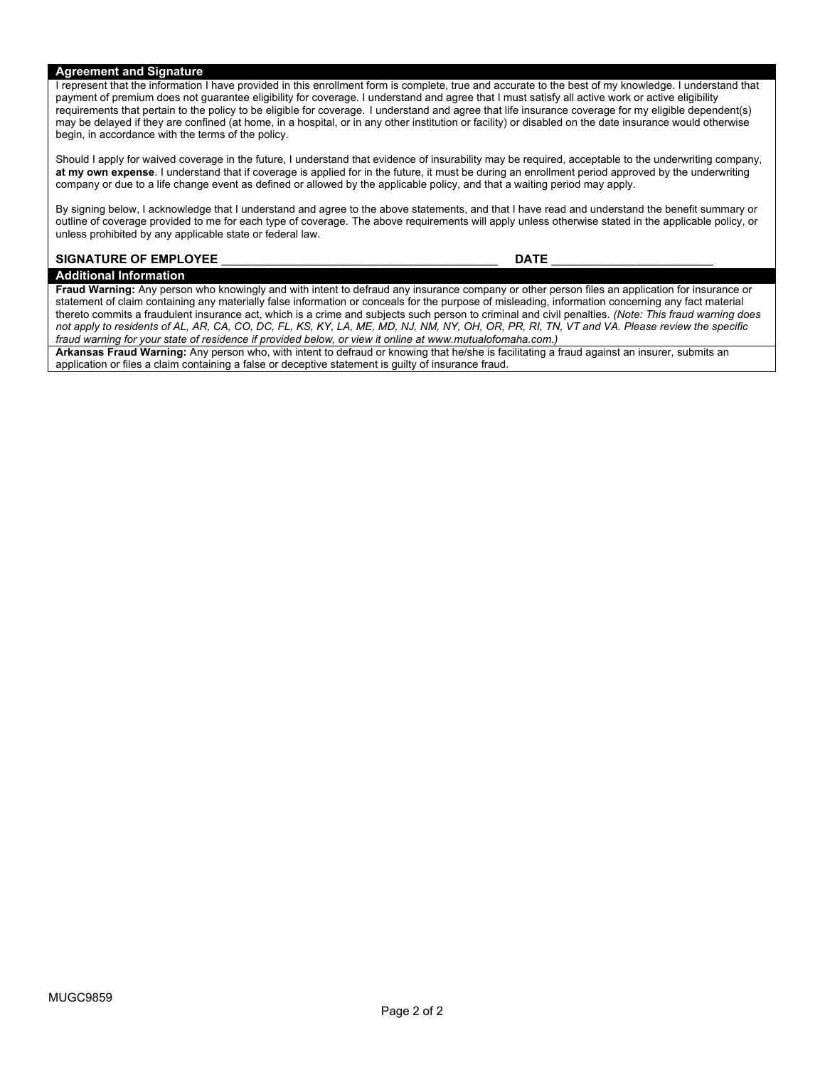### **Agreement and Signature**

I represent that the information I have provided in this enrollment form is complete, true and accurate to the best of my knowledge. I understand that payment of premium does not guarantee eligibility for coverage. I understand and agree that I must satisfy all active work or active eligibility requirements that pertain to the policy to be eligible for coverage. I understand and agree that life insurance coverage for my eligible dependent(s) may be delayed if they are confined (at home, in a hospital, or in any other institution or facility) or disabled on the date insurance would otherwise begin, in accordance with the terms of the policy.

Should I apply for waived coverage in the future, I understand that evidence of insurability may be required, acceptable to the underwriting company, **at my own expense**. I understand that if coverage is applied for in the future, it must be during an enrollment period approved by the underwriting company or due to a life change event as defined or allowed by the applicable policy, and that a waiting period may apply.

By signing below, I acknowledge that I understand and agree to the above statements, and that I have read and understand the benefit summary or outline of coverage provided to me for each type of coverage. The above requirements will apply unless otherwise stated in the applicable policy, or unless prohibited by any applicable state or federal law.

### **SIGNATURE OF EMPLOYEE** \_\_\_\_\_\_\_\_\_\_\_\_\_\_\_\_\_\_\_\_\_\_\_\_\_\_\_\_\_\_\_\_\_\_\_\_\_\_\_\_\_ **DATE** \_\_\_\_\_\_\_\_\_\_\_\_\_\_\_\_\_\_\_\_\_\_\_\_

**Additional Information**

**Fraud Warning:** Any person who knowingly and with intent to defraud any insurance company or other person files an application for insurance or statement of claim containing any materially false information or conceals for the purpose of misleading, information concerning any fact material thereto commits a fraudulent insurance act, which is a crime and subjects such person to criminal and civil penalties. *(Note: This fraud warning does not apply to residents of AL, AR, CA, CO, DC, FL, KS, KY, LA, ME, MD, NJ, NM, NY, OH, OR, PR, RI, TN, VT and VA. Please review the specific fraud warning for your state of residence if provided below, or view it online at www.mutualofomaha.com.)*

**Arkansas Fraud Warning:** Any person who, with intent to defraud or knowing that he/she is facilitating a fraud against an insurer, submits an application or files a claim containing a false or deceptive statement is guilty of insurance fraud.